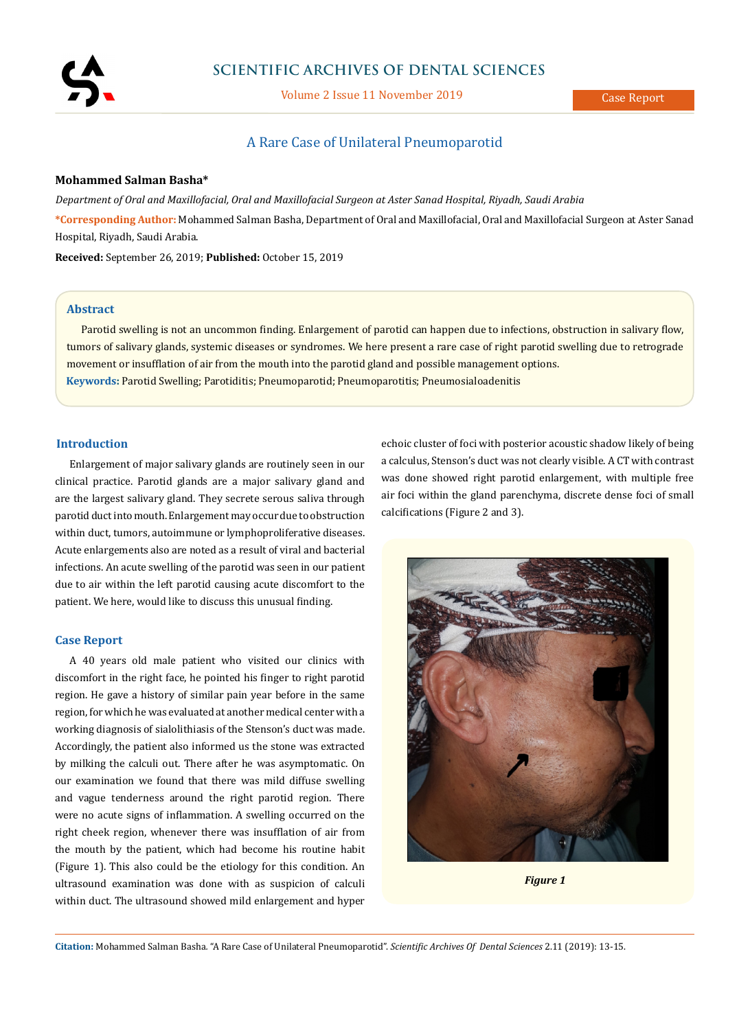

# **SCIENTIFIC ARCHIVES OF DENTAL SCIENCES**

Volume 2 Issue 11 November 2019

# A Rare Case of Unilateral Pneumoparotid

# **Mohammed Salman Basha\***

*Department of Oral and Maxillofacial, Oral and Maxillofacial Surgeon at Aster Sanad Hospital, Riyadh, Saudi Arabia* **\*Corresponding Author:** Mohammed Salman Basha, Department of Oral and Maxillofacial, Oral and Maxillofacial Surgeon at Aster Sanad Hospital, Riyadh, Saudi Arabia.

**Received:** September 26, 2019; **Published:** October 15, 2019

### **Abstract**

**Keywords:** Parotid Swelling; Parotiditis; Pneumoparotid; Pneumoparotitis; Pneumosialoadenitis Parotid swelling is not an uncommon finding. Enlargement of parotid can happen due to infections, obstruction in salivary flow, tumors of salivary glands, systemic diseases or syndromes. We here present a rare case of right parotid swelling due to retrograde movement or insufflation of air from the mouth into the parotid gland and possible management options.

# **Introduction**

Enlargement of major salivary glands are routinely seen in our clinical practice. Parotid glands are a major salivary gland and are the largest salivary gland. They secrete serous saliva through parotid duct into mouth. Enlargement may occur due to obstruction within duct, tumors, autoimmune or lymphoproliferative diseases. Acute enlargements also are noted as a result of viral and bacterial infections. An acute swelling of the parotid was seen in our patient due to air within the left parotid causing acute discomfort to the patient. We here, would like to discuss this unusual finding.

#### **Case Report**

A 40 years old male patient who visited our clinics with discomfort in the right face, he pointed his finger to right parotid region. He gave a history of similar pain year before in the same region, for which he was evaluated at another medical center with a working diagnosis of sialolithiasis of the Stenson's duct was made. Accordingly, the patient also informed us the stone was extracted by milking the calculi out. There after he was asymptomatic. On our examination we found that there was mild diffuse swelling and vague tenderness around the right parotid region. There were no acute signs of inflammation. A swelling occurred on the right cheek region, whenever there was insufflation of air from the mouth by the patient, which had become his routine habit (Figure 1). This also could be the etiology for this condition. An ultrasound examination was done with as suspicion of calculi within duct. The ultrasound showed mild enlargement and hyper echoic cluster of foci with posterior acoustic shadow likely of being a calculus, Stenson's duct was not clearly visible. A CT with contrast was done showed right parotid enlargement, with multiple free air foci within the gland parenchyma, discrete dense foci of small calcifications (Figure 2 and 3).



*Figure 1*

**Citation:** Mohammed Salman Basha*.* "A Rare Case of Unilateral Pneumoparotid". *Scientific Archives Of Dental Sciences* 2.11 (2019): 13-15.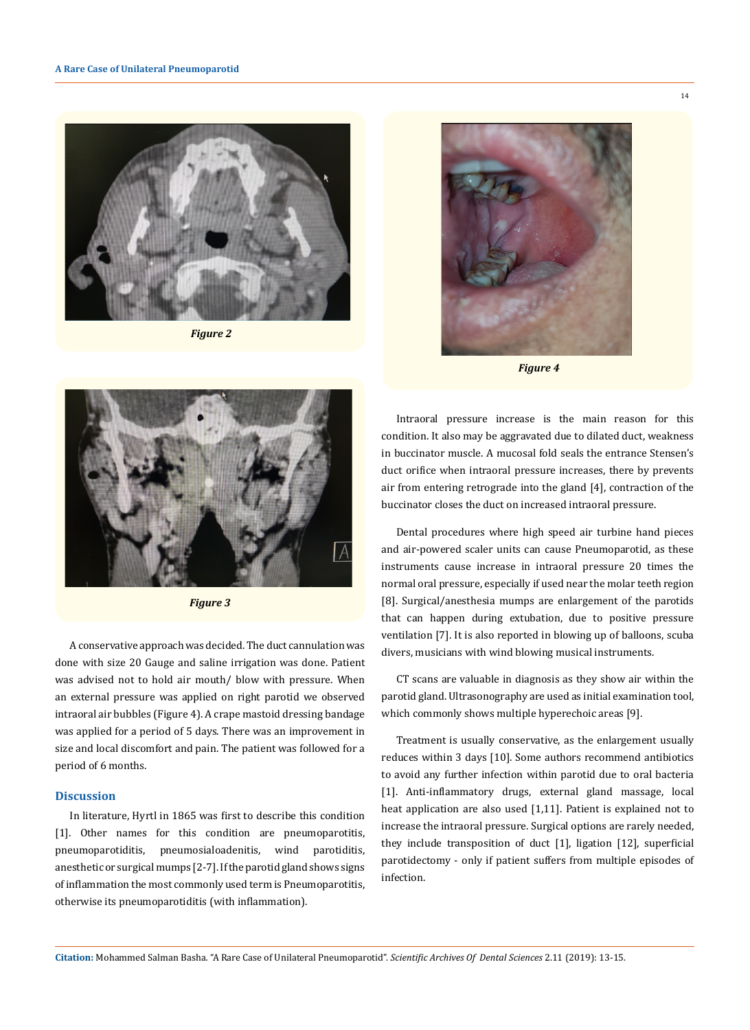

*Figure 2*



*Figure 4*



*Figure 3*

A conservative approach was decided. The duct cannulation was done with size 20 Gauge and saline irrigation was done. Patient was advised not to hold air mouth/ blow with pressure. When an external pressure was applied on right parotid we observed intraoral air bubbles (Figure 4). A crape mastoid dressing bandage was applied for a period of 5 days. There was an improvement in size and local discomfort and pain. The patient was followed for a period of 6 months.

### **Discussion**

In literature, Hyrtl in 1865 was first to describe this condition [1]. Other names for this condition are pneumoparotitis, pneumoparotiditis, pneumosialoadenitis, wind parotiditis, anesthetic or surgical mumps [2-7]. If the parotid gland shows signs of inflammation the most commonly used term is Pneumoparotitis, otherwise its pneumoparotiditis (with inflammation).

Intraoral pressure increase is the main reason for this condition. It also may be aggravated due to dilated duct, weakness in buccinator muscle. A mucosal fold seals the entrance Stensen's duct orifice when intraoral pressure increases, there by prevents air from entering retrograde into the gland [4], contraction of the buccinator closes the duct on increased intraoral pressure.

Dental procedures where high speed air turbine hand pieces and air-powered scaler units can cause Pneumoparotid, as these instruments cause increase in intraoral pressure 20 times the normal oral pressure, especially if used near the molar teeth region [8]. Surgical/anesthesia mumps are enlargement of the parotids that can happen during extubation, due to positive pressure ventilation [7]. It is also reported in blowing up of balloons, scuba divers, musicians with wind blowing musical instruments.

CT scans are valuable in diagnosis as they show air within the parotid gland. Ultrasonography are used as initial examination tool, which commonly shows multiple hyperechoic areas [9].

Treatment is usually conservative, as the enlargement usually reduces within 3 days [10]. Some authors recommend antibiotics to avoid any further infection within parotid due to oral bacteria [1]. Anti-inflammatory drugs, external gland massage, local heat application are also used [1,11]. Patient is explained not to increase the intraoral pressure. Surgical options are rarely needed, they include transposition of duct [1], ligation [12], superficial parotidectomy - only if patient suffers from multiple episodes of infection.